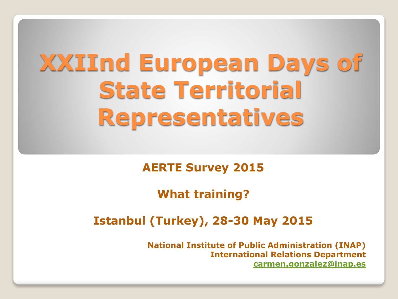# **XXIInd European Days of State Territorial Representatives**

#### **AERTE Survey 2015**

#### **What training?**

#### **Istanbul (Turkey), 28-30 May 2015**

**National Institute of Public Administration (INAP) International Relations Department [carmen.gonzalez@inap.es](mailto:carmen.gonzalez@inap.es)**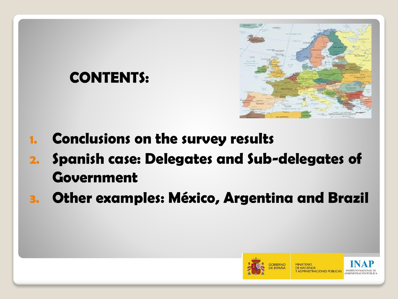# **CONTENTS:**



- 1. Conclusions on the survey results
- 2. Spanish case: Delegates and Sub-delegates of Government
- 3. Other examples: México, Argentina and Brazil

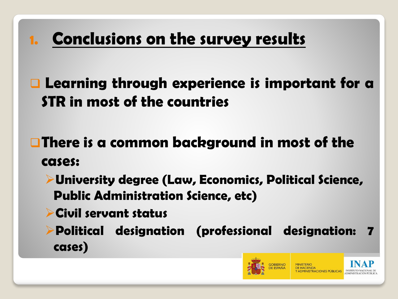# 1. Conclusions on the survey results

 Learning through experience is important for a STR in most of the countries

 $\Box$  There is a common background in most of the cases:

University degree (Law, Economics, Political Science, Public Administration Science, etc)

Civil servant status

Political designation (professional designation: 7 cases)



**RACIONES PÚBLICAS INSTITUTO NAO**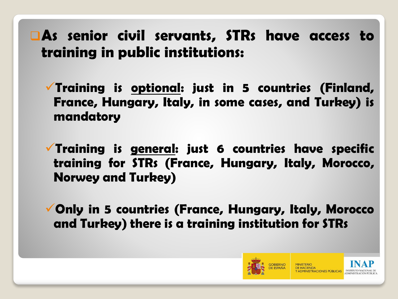#### As senior civil servants, STRs have access to training in public institutions:

 $\checkmark$  Training is optional: just in 5 countries (Finland, France, Hungary, Italy, in some cases, and Turkey) is mandatory

 $\checkmark$  Training is general: just 6 countries have specific training for STRs (France, Hungary, Italy, Morocco, Norwey and Turkey)

Only in 5 countries (France, Hungary, Italy, Morocco and Turkey) there is a training institution for STRs

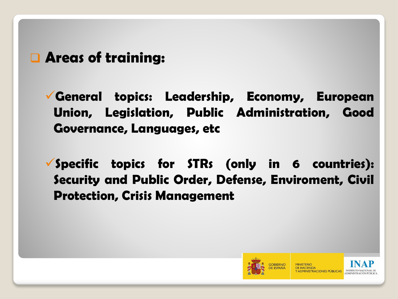#### **Q** Areas of training:

General topics: Leadership, Economy, European Union, Legislation, Public Administration, Good Governance, Languages, etc

 $\checkmark$  Specific topics for STRs (only in 6 countries): Security and Public Order, Defense, Enviroment, Civil Protection, Crisis Management

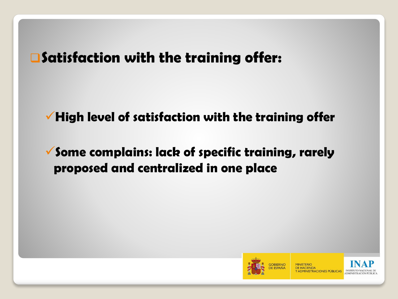#### Satisfaction with the training offer:

#### $\checkmark$  High level of satisfaction with the training offer

#### $\checkmark$  Some complains: lack of specific training, rarely proposed and centralized in one place

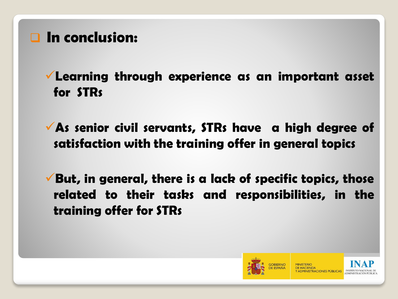#### **Q** In conclusion:

Learning through experience as an important asset for STRs

 $\sqrt{A}$ s senior civil servants, STRs have a high degree of satisfaction with the training offer in general topics

 $\checkmark$  But, in general, there is a lack of specific topics, those related to their tasks and responsibilities, in the training offer for STRs

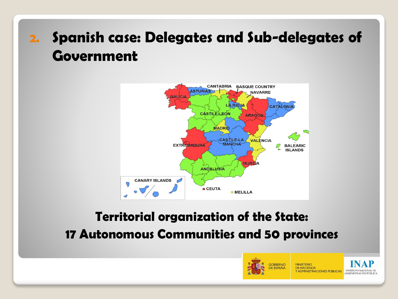## 2. Spanish case: Delegates and Sub-delegates of Government



#### Territorial organization of the State: 17 Autonomous Communities and 50 provinces

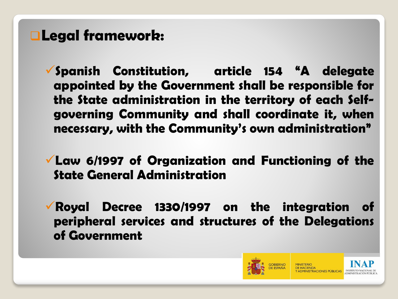### Legal framework:

- $\checkmark$  Spanish Constitution, article 154  $^4$ A delegate **appointed by the Government** shall be responsible for the State administration in the territory of each Selfgoverning Community and shall coordinate it, when necessary, with the Community's own administration"
- Law 6/1997 of Organization and Functioning of the State General Administration
- Royal Decree 1330/1997 on the integration of peripheral services and structures of the Delegations of Government

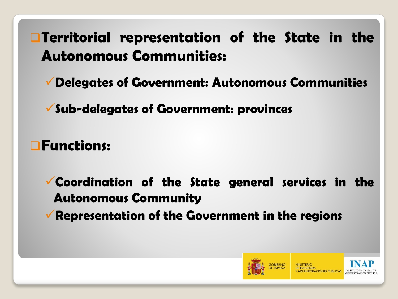## **Territorial representation of the State in the Autonomous Communities:**

**Delegates of Government: Autonomous Communities**

**Sub-delegates of Government: provinces**

Functions:

**Coordination of the State general services in the Autonomous Community**

 $\sqrt{\ }$  Representation of the Government in the regions

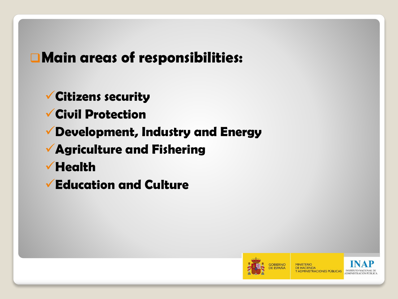### Main areas of responsibilities:

Citizens security

- Civil Protection
- Development, Industry and Energy
- Agriculture and Fishering
- $\checkmark$  Health
- Education and Culture

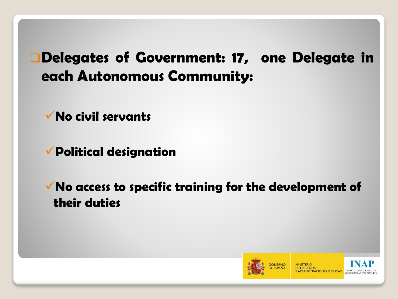### Delegates of Government: 17, one Delegate in each Autonomous Community:

No civil servants

Political designation

 $\checkmark$  No access to specific training for the development of their duties

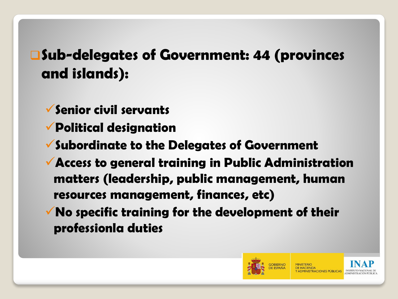## Sub-delegates of Government: 44 (provinces and islands):

- $\checkmark$  Senior civil servants
- Political designation
- $\checkmark$  Subordinate to the Delegates of Government
- Access to general training in Public Administration matters (leadership, public management, human resources management, finances, etc)
- $\sqrt{N}$  No specific training for the development of their professionla duties

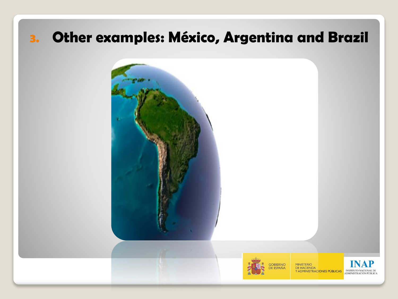### 3. Other examples: México, Argentina and Brazil

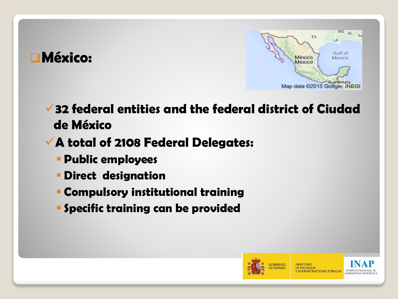



32 federal entities and the federal district of Ciudad de México

#### A total of 2108 Federal Delegates:

- **Public employees**
- Direct designation
- Compulsory institutional training
- **Specific training can be provided**

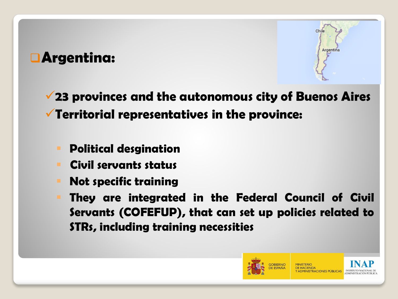#### Argentina:



23 provinces and the autonomous city of Buenos Aires Territorial representatives in the province:

- Political desgination
- Civil servants status
- Not specific training
- They are integrated in the Federal Council of Civil Servants (COFEFUP), that can set up policies related to STRs, including training necessities

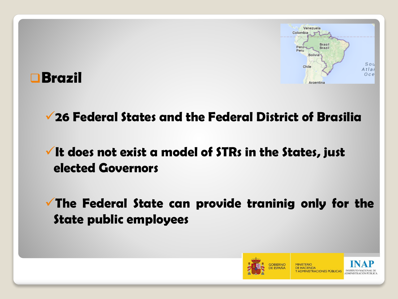



#### 26 Federal States and the Federal District of Brasilia

#### $\checkmark$  It does not exist a model of STRs in the States, just elected Governors

 $\checkmark$  The Federal State can provide traninig only for the State public employees